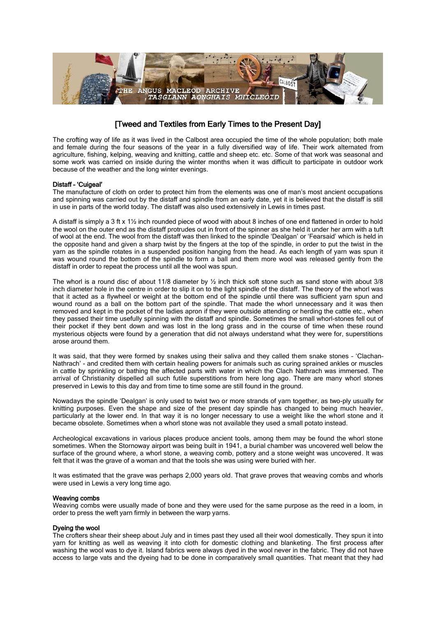

# [Tweed and Textiles from Early Times to the Present Day]

The crofting way of life as it was lived in the Calbost area occupied the time of the whole population; both male and female during the four seasons of the year in a fully diversified way of life. Their work alternated from agriculture, fishing, kelping, weaving and knitting, cattle and sheep etc. etc. Some of that work was seasonal and some work was carried on inside during the winter months when it was difficult to participate in outdoor work because of the weather and the long winter evenings.

## Distaff – 'Cuigeal'

The manufacture of cloth on order to protect him from the elements was one of man's most ancient occupations and spinning was carried out by the distaff and spindle from an early date, yet it is believed that the distaff is still in use in parts of the world today. The distaff was also used extensively in Lewis in times past.

A distaff is simply a 3 ft x 1½ inch rounded piece of wood with about 8 inches of one end flattened in order to hold the wool on the outer end as the distaff protrudes out in front of the spinner as she held it under her arm with a tuft of wool at the end. The wool from the distaff was then linked to the spindle 'Dealgan' or 'Fearsaid' which is held in the opposite hand and given a sharp twist by the fingers at the top of the spindle, in order to put the twist in the yarn as the spindle rotates in a suspended position hanging from the head. As each length of yarn was spun it was wound round the bottom of the spindle to form a ball and them more wool was released gently from the distaff in order to repeat the process until all the wool was spun.

The whorl is a round disc of about 11/8 diameter by ½ inch thick soft stone such as sand stone with about 3/8 inch diameter hole in the centre in order to slip it on to the light spindle of the distaff. The theory of the whorl was that it acted as a flywheel or weight at the bottom end of the spindle until there was sufficient yarn spun and wound round as a ball on the bottom part of the spindle. That made the whorl unnecessary and it was then removed and kept in the pocket of the ladies apron if they were outside attending or herding the cattle etc., when they passed their time usefully spinning with the distaff and spindle. Sometimes the small whorl-stones fell out of their pocket if they bent down and was lost in the long grass and in the course of time when these round mysterious objects were found by a generation that did not always understand what they were for, superstitions arose around them.

It was said, that they were formed by snakes using their saliva and they called them snake stones – 'Clachan– Nathrach' - and credited them with certain healing powers for animals such as curing sprained ankles or muscles in cattle by sprinkling or bathing the affected parts with water in which the Clach Nathrach was immersed. The arrival of Christianity dispelled all such futile superstitions from here long ago. There are many whorl stones preserved in Lewis to this day and from time to time some are still found in the ground.

Nowadays the spindle 'Dealgan' is only used to twist two or more strands of yarn together, as two-ply usually for knitting purposes. Even the shape and size of the present day spindle has changed to being much heavier, particularly at the lower end. In that way it is no longer necessary to use a weight like the whorl stone and it became obsolete. Sometimes when a whorl stone was not available they used a small potato instead.

Archeological excavations in various places produce ancient tools, among them may be found the whorl stone sometimes. When the Stornoway airport was being built in 1941, a burial chamber was uncovered well below the surface of the ground where, a whorl stone, a weaving comb, pottery and a stone weight was uncovered. It was felt that it was the grave of a woman and that the tools she was using were buried with her.

It was estimated that the grave was perhaps 2,000 years old. That grave proves that weaving combs and whorls were used in Lewis a very long time ago.

## Weaving combs

Weaving combs were usually made of bone and they were used for the same purpose as the reed in a loom, in order to press the weft yarn firmly in between the warp yarns.

# Dyeing the wool

The crofters shear their sheep about July and in times past they used all their wool domestically. They spun it into yarn for knitting as well as weaving it into cloth for domestic clothing and blanketing. The first process after washing the wool was to dye it. Island fabrics were always dyed in the wool never in the fabric. They did not have access to large vats and the dyeing had to be done in comparatively small quantities. That meant that they had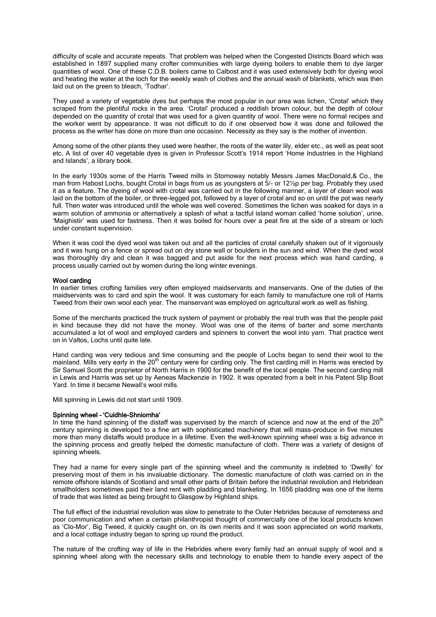difficulty of scale and accurate repeats. That problem was helped when the Congested Districts Board which was established in 1897 supplied many crofter communities with large dyeing boilers to enable them to dye larger quantities of wool. One of these C.D.B. boilers came to Calbost and it was used extensively both for dyeing wool and heating the water at the loch for the weekly wash of clothes and the annual wash of blankets, which was then laid out on the green to bleach, 'Todhar'.

They used a variety of vegetable dyes but perhaps the most popular in our area was lichen, 'Crotal' which they scraped from the plentiful rocks in the area. 'Crotal' produced a reddish brown colour, but the depth of colour depended on the quantity of crotal that was used for a given quantity of wool. There were no formal recipes and the worker went by appearance. It was not difficult to do if one observed how it was done and followed the process as the writer has done on more than one occasion. Necessity as they say is the mother of invention.

Among some of the other plants they used were heather, the roots of the water lily, elder etc., as well as peat soot etc, A list of over 40 vegetable dyes is given in Professor Scott's 1914 report 'Home Industries in the Highland and Islands', a library book.

In the early 1930s some of the Harris Tweed mills in Stornoway notably Messrs James MacDonald,& Co., the man from Habost Lochs, bought Crotal in bags from us as youngsters at 5/- or 12½p per bag. Probably they used it as a feature. The dyeing of wool with crotal was carried out in the following manner, a layer of clean wool was laid on the bottom of the boiler, or three-legged pot, followed by a layer of crotal and so on until the pot was nearly full. Then water was introduced until the whole was well covered. Sometimes the lichen was soaked for days in a warm solution of ammonia or alternatively a splash of what a tactful island woman called 'home solution', urine, 'Maighistir' was used for fastness. Then it was boiled for hours over a peat fire at the side of a stream or loch under constant supervision.

When it was cool the dyed wool was taken out and all the particles of crotal carefully shaken out of it vigorously and it was hung on a fence or spread out on dry stone wall or boulders in the sun and wind. When the dyed wool was thoroughly dry and clean it was bagged and put aside for the next process which was hand carding, a process usually carried out by women during the long winter evenings.

#### Wool carding

In earlier times crofting families very often employed maidservants and manservants. One of the duties of the maidservants was to card and spin the wool. It was customary for each family to manufacture one roll of Harris Tweed from their own wool each year. The manservant was employed on agricultural work as well as fishing.

Some of the merchants practiced the truck system of payment or probably the real truth was that the people paid in kind because they did not have the money. Wool was one of the items of barter and some merchants accumulated a lot of wool and employed carders and spinners to convert the wool into yarn. That practice went on in Valtos, Lochs until quite late.

Hand carding was very tedious and time consuming and the people of Lochs began to send their wool to the mainland. Mills very early in the 20<sup>th</sup> century were for carding only. The first carding mill in Harris was erected by Sir Samuel Scott the proprietor of North Harris in 1900 for the benefit of the local people. The second carding mill in Lewis and Harris was set up by Aeneas Mackenzie in 1902. It was operated from a belt in his Patent Slip Boat Yard. In time it became Newall's wool mills.

Mill spinning in Lewis did not start until 1909.

#### Spinning wheel – 'Cuidhle-Shniomha'

In time the hand spinning of the distaff was supervised by the march of science and now at the end of the  $20<sup>th</sup>$ century spinning is developed to a fine art with sophisticated machinery that will mass-produce in five minutes more than many distaffs would produce in a lifetime. Even the well-known spinning wheel was a big advance in the spinning process and greatly helped the domestic manufacture of cloth. There was a variety of designs of spinning wheels.

They had a name for every single part of the spinning wheel and the community is indebted to 'Dwelly' for preserving most of them in his invaluable dictionary. The domestic manufacture of cloth was carried on in the remote offshore islands of Scotland and small other parts of Britain before the industrial revolution and Hebridean smallholders sometimes paid their land rent with pladding and blanketing. In 1656 pladding was one of the items of trade that was listed as being brought to Glasgow by Highland ships.

The full effect of the industrial revolution was slow to penetrate to the Outer Hebrides because of remoteness and poor communication and when a certain philanthropist thought of commercially one of the local products known as 'Clo-Mor', Big Tweed, it quickly caught on, on its own merits and it was soon appreciated on world markets, and a local cottage industry began to spring up round the product.

The nature of the crofting way of life in the Hebrides where every family had an annual supply of wool and a spinning wheel along with the necessary skills and technology to enable them to handle every aspect of the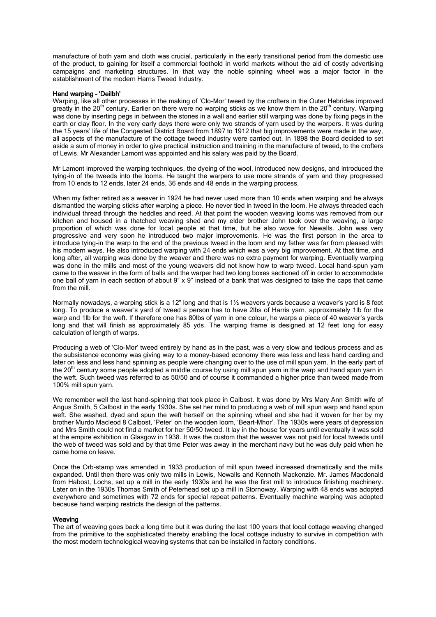manufacture of both yarn and cloth was crucial, particularly in the early transitional period from the domestic use of the product, to gaining for itself a commercial foothold in world markets without the aid of costly advertising campaigns and marketing structures. In that way the noble spinning wheel was a major factor in the establishment of the modern Harris Tweed Industry.

#### Hand warping – 'Deilbh'

Warping, like all other processes in the making of 'Clo-Mor' tweed by the crofters in the Outer Hebrides improved greatly in the  $20<sup>th</sup>$  century. Earlier on there were no warping sticks as we know them in the  $20<sup>th</sup>$  century. Warping was done by inserting pegs in between the stones in a wall and earlier still warping was done by fixing pegs in the earth or clay floor. In the very early days there were only two strands of yarn used by the warpers. It was during the 15 years' life of the Congested District Board from 1897 to 1912 that big improvements were made in the way, all aspects of the manufacture of the cottage tweed industry were carried out. In 1898 the Board decided to set aside a sum of money in order to give practical instruction and training in the manufacture of tweed, to the crofters of Lewis. Mr Alexander Lamont was appointed and his salary was paid by the Board.

Mr Lamont improved the warping techniques, the dyeing of the wool, introduced new designs, and introduced the tying-in of the tweeds into the looms. He taught the warpers to use more strands of yarn and they progressed from 10 ends to 12 ends, later 24 ends, 36 ends and 48 ends in the warping process.

When my father retired as a weaver in 1924 he had never used more than 10 ends when warping and he always dismantled the warping sticks after warping a piece. He never tied in tweed in the loom. He always threaded each individual thread through the heddles and reed. At that point the wooden weaving looms was removed from our kitchen and housed in a thatched weaving shed and my elder brother John took over the weaving, a large proportion of which was done for local people at that time, but he also wove for Newalls. John was very progressive and very soon he introduced two major improvements. He was the first person in the area to introduce tying-in the warp to the end of the previous tweed in the loom and my father was far from pleased with his modern ways. He also introduced warping with 24 ends which was a very big improvement. At that time, and long after, all warping was done by the weaver and there was no extra payment for warping. Eventually warping was done in the mills and most of the young weavers did not know how to warp tweed. Local hand-spun yarn came to the weaver in the form of balls and the warper had two long boxes sectioned off in order to accommodate one ball of yarn in each section of about 9" x 9" instead of a bank that was designed to take the caps that came from the mill.

Normally nowadays, a warping stick is a 12" long and that is 1½ weavers vards because a weaver's vard is 8 feet long. To produce a weaver's yard of tweed a person has to have 2lbs of Harris yarn, approximately 1lb for the warp and 1lb for the weft. If therefore one has 80lbs of yarn in one colour, he warps a piece of 40 weaver's yards long and that will finish as approximately 85 yds. The warping frame is designed at 12 feet long for easy calculation of length of warps.

Producing a web of 'Clo-Mor' tweed entirely by hand as in the past, was a very slow and tedious process and as the subsistence economy was giving way to a money-based economy there was less and less hand carding and later on less and less hand spinning as people were changing over to the use of mill spun yarn. In the early part of the 20<sup>th</sup> century some people adopted a middle course by using mill spun yarn in the warp and hand spun yarn in the weft. Such tweed was referred to as 50/50 and of course it commanded a higher price than tweed made from 100% mill spun yarn.

We remember well the last hand-spinning that took place in Calbost. It was done by Mrs Mary Ann Smith wife of Angus Smith, 5 Calbost in the early 1930s. She set her mind to producing a web of mill spun warp and hand spun weft. She washed, dyed and spun the weft herself on the spinning wheel and she had it woven for her by my brother Murdo Macleod 8 Calbost, 'Peter' on the wooden loom, 'Beart–Mhor'. The 1930s were years of depression and Mrs Smith could not find a market for her 50/50 tweed. It lay in the house for years until eventually it was sold at the empire exhibition in Glasgow in 1938. It was the custom that the weaver was not paid for local tweeds until the web of tweed was sold and by that time Peter was away in the merchant navy but he was duly paid when he came home on leave.

Once the Orb-stamp was amended in 1933 production of mill spun tweed increased dramatically and the mills expanded. Until then there was only two mills in Lewis, Newalls and Kenneth Mackenzie. Mr. James Macdonald from Habost, Lochs, set up a mill in the early 1930s and he was the first mill to introduce finishing machinery. Later on in the 1930s Thomas Smith of Peterhead set up a mill in Stornoway. Warping with 48 ends was adopted everywhere and sometimes with 72 ends for special repeat patterns. Eventually machine warping was adopted because hand warping restricts the design of the patterns.

#### **Weaving**

The art of weaving goes back a long time but it was during the last 100 years that local cottage weaving changed from the primitive to the sophisticated thereby enabling the local cottage industry to survive in competition with the most modern technological weaving systems that can be installed in factory conditions.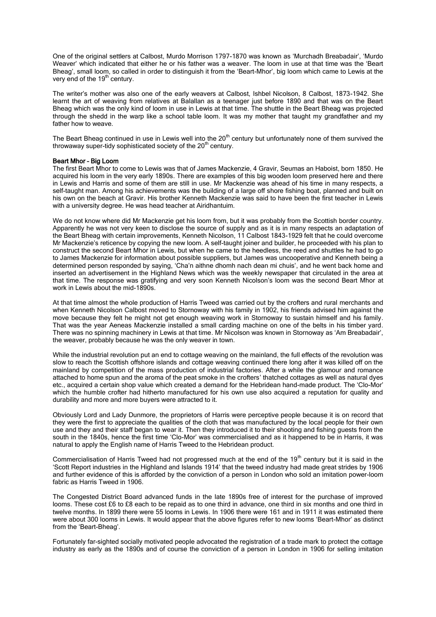One of the original settlers at Calbost, Murdo Morrison 1797-1870 was known as 'Murchadh Breabadair', 'Murdo Weaver' which indicated that either he or his father was a weaver. The loom in use at that time was the 'Beart Bheag', small loom, so called in order to distinguish it from the 'Beart-Mhor', big loom which came to Lewis at the very end of the  $19<sup>th</sup>$  century.

The writer's mother was also one of the early weavers at Calbost, Ishbel Nicolson, 8 Calbost, 1873-1942. She learnt the art of weaving from relatives at Balallan as a teenager just before 1890 and that was on the Beart Bheag which was the only kind of loom in use in Lewis at that time. The shuttle in the Beart Bheag was projected through the shedd in the warp like a school table loom. It was my mother that taught my grandfather and my father how to weave.

The Beart Bheag continued in use in Lewis well into the 20<sup>th</sup> century but unfortunately none of them survived the throwaway super-tidy sophisticated society of the  $20<sup>th</sup>$  century.

## Beart Mhor – Big Loom

The first Beart Mhor to come to Lewis was that of James Mackenzie, 4 Gravir, Seumas an Haboist, born 1850. He acquired his loom in the very early 1890s. There are examples of this big wooden loom preserved here and there in Lewis and Harris and some of them are still in use. Mr Mackenzie was ahead of his time in many respects, a self-taught man. Among his achievements was the building of a large off shore fishing boat, planned and built on his own on the beach at Gravir. His brother Kenneth Mackenzie was said to have been the first teacher in Lewis with a university degree. He was head teacher at Airidhantuim.

We do not know where did Mr Mackenzie get his loom from, but it was probably from the Scottish border country. Apparently he was not very keen to disclose the source of supply and as it is in many respects an adaptation of the Beart Bheag with certain improvements, Kenneth Nicolson, 11 Calbost 1843-1929 felt that he could overcome Mr Mackenzie's reticence by copying the new loom. A self-taught joiner and builder, he proceeded with his plan to construct the second Beart Mhor in Lewis, but when he came to the heedless, the reed and shuttles he had to go to James Mackenzie for information about possible suppliers, but James was uncooperative and Kenneth being a determined person responded by saying, 'Cha'n aithne dhomh nach dean mi chuis', and he went back home and inserted an advertisement in the Highland News which was the weekly newspaper that circulated in the area at that time. The response was gratifying and very soon Kenneth Nicolson's loom was the second Beart Mhor at work in Lewis about the mid-1890s.

At that time almost the whole production of Harris Tweed was carried out by the crofters and rural merchants and when Kenneth Nicolson Calbost moved to Stornoway with his family in 1902, his friends advised him against the move because they felt he might not get enough weaving work in Stornoway to sustain himself and his family. That was the year Aeneas Mackenzie installed a small carding machine on one of the belts in his timber yard. There was no spinning machinery in Lewis at that time. Mr Nicolson was known in Stornoway as 'Am Breabadair', the weaver, probably because he was the only weaver in town.

While the industrial revolution put an end to cottage weaving on the mainland, the full effects of the revolution was slow to reach the Scottish offshore islands and cottage weaving continued there long after it was killed off on the mainland by competition of the mass production of industrial factories. After a while the glamour and romance attached to home spun and the aroma of the peat smoke in the crofters' thatched cottages as well as natural dyes etc., acquired a certain shop value which created a demand for the Hebridean hand-made product. The 'Clo-Mor' which the humble crofter had hitherto manufactured for his own use also acquired a reputation for quality and durability and more and more buyers were attracted to it.

Obviously Lord and Lady Dunmore, the proprietors of Harris were perceptive people because it is on record that they were the first to appreciate the qualities of the cloth that was manufactured by the local people for their own use and they and their staff began to wear it. Then they introduced it to their shooting and fishing guests from the south in the 1840s, hence the first time 'Clo-Mor' was commercialised and as it happened to be in Harris, it was natural to apply the English name of Harris Tweed to the Hebridean product.

Commercialisation of Harris Tweed had not progressed much at the end of the 19<sup>th</sup> century but it is said in the 'Scott Report industries in the Highland and Islands 1914' that the tweed industry had made great strides by 1906 and further evidence of this is afforded by the conviction of a person in London who sold an imitation power-loom fabric as Harris Tweed in 1906.

The Congested District Board advanced funds in the late 1890s free of interest for the purchase of improved looms. These cost £6 to £8 each to be repaid as to one third in advance, one third in six months and one third in twelve months. In 1899 there were 55 looms in Lewis. In 1906 there were 161 and in 1911 it was estimated there were about 300 looms in Lewis. It would appear that the above figures refer to new looms 'Beart-Mhor' as distinct from the 'Beart-Bheag'.

Fortunately far-sighted socially motivated people advocated the registration of a trade mark to protect the cottage industry as early as the 1890s and of course the conviction of a person in London in 1906 for selling imitation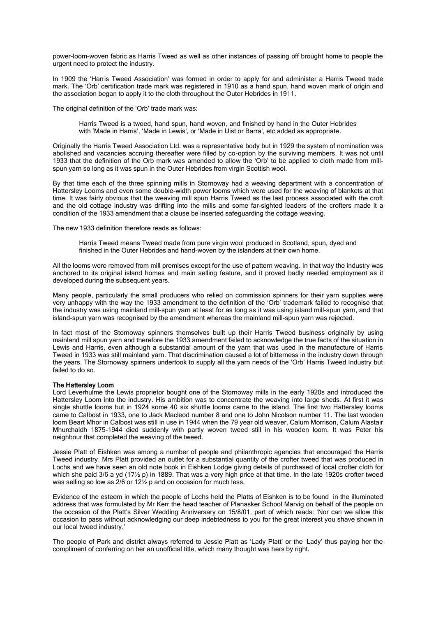power-loom-woven fabric as Harris Tweed as well as other instances of passing off brought home to people the urgent need to protect the industry.

In 1909 the 'Harris Tweed Association' was formed in order to apply for and administer a Harris Tweed trade mark. The 'Orb' certification trade mark was registered in 1910 as a hand spun, hand woven mark of origin and the association began to apply it to the cloth throughout the Outer Hebrides in 1911.

The original definition of the 'Orb' trade mark was:

Harris Tweed is a tweed, hand spun, hand woven, and finished by hand in the Outer Hebrides with 'Made in Harris', 'Made in Lewis', or 'Made in Uist or Barra', etc added as appropriate.

Originally the Harris Tweed Association Ltd. was a representative body but in 1929 the system of nomination was abolished and vacancies accruing thereafter were filled by co-option by the surviving members. It was not until 1933 that the definition of the Orb mark was amended to allow the 'Orb' to be applied to cloth made from millspun yarn so long as it was spun in the Outer Hebrides from virgin Scottish wool.

By that time each of the three spinning mills in Stornoway had a weaving department with a concentration of Hattersley Looms and even some double-width power looms which were used for the weaving of blankets at that time. It was fairly obvious that the weaving mill spun Harris Tweed as the last process associated with the croft and the old cottage industry was drifting into the mills and some far-sighted leaders of the crofters made it a condition of the 1933 amendment that a clause be inserted safeguarding the cottage weaving.

The new 1933 definition therefore reads as follows:

Harris Tweed means Tweed made from pure virgin wool produced in Scotland, spun, dyed and finished in the Outer Hebrides and hand-woven by the islanders at their own home.

All the looms were removed from mill premises except for the use of pattern weaving. In that way the industry was anchored to its original island homes and main selling feature, and it proved badly needed employment as it developed during the subsequent years.

Many people, particularly the small producers who relied on commission spinners for their yarn supplies were very unhappy with the way the 1933 amendment to the definition of the 'Orb' trademark failed to recognise that the industry was using mainland mill-spun yarn at least for as long as it was using island mill-spun yarn, and that island-spun yarn was recognised by the amendment whereas the mainland mill-spun yarn was rejected.

In fact most of the Stornoway spinners themselves built up their Harris Tweed business originally by using mainland mill spun yarn and therefore the 1933 amendment failed to acknowledge the true facts of the situation in Lewis and Harris, even although a substantial amount of the yarn that was used in the manufacture of Harris Tweed in 1933 was still mainland yarn. That discrimination caused a lot of bitterness in the industry down through the years. The Stornoway spinners undertook to supply all the yarn needs of the 'Orb' Harris Tweed Industry but failed to do so.

## The Hattersley Loom

Lord Leverhulme the Lewis proprietor bought one of the Stornoway mills in the early 1920s and introduced the Hattersley Loom into the industry. His ambition was to concentrate the weaving into large sheds. At first it was single shuttle looms but in 1924 some 40 six shuttle looms came to the island. The first two Hattersley looms came to Calbost in 1933, one to Jack Macleod number 8 and one to John Nicolson number 11. The last wooden loom Beart Mhor in Calbost was still in use in 1944 when the 79 year old weaver, Calum Morrison, Calum Alastair Mhurchaidh 1875-1944 died suddenly with partly woven tweed still in his wooden loom. It was Peter his neighbour that completed the weaving of the tweed.

Jessie Platt of Eishken was among a number of people and philanthropic agencies that encouraged the Harris Tweed industry. Mrs Platt provided an outlet for a substantial quantity of the crofter tweed that was produced in Lochs and we have seen an old note book in Eishken Lodge giving details of purchased of local crofter cloth for which she paid 3/6 a yd (17<sup>1</sup>/<sub>2</sub> p) in 1889. That was a very high price at that time. In the late 1920s crofter tweed was selling so low as 2/6 or 12½ p and on occasion for much less.

Evidence of the esteem in which the people of Lochs held the Platts of Eishken is to be found in the illuminated address that was formulated by Mr Kerr the head teacher of Planasker School Marvig on behalf of the people on the occasion of the Platt's Silver Wedding Anniversary on 15/8/01, part of which reads: 'Nor can we allow this occasion to pass without acknowledging our deep indebtedness to you for the great interest you shave shown in our local tweed industry.'

The people of Park and district always referred to Jessie Platt as 'Lady Platt' or the 'Lady' thus paying her the compliment of conferring on her an unofficial title, which many thought was hers by right.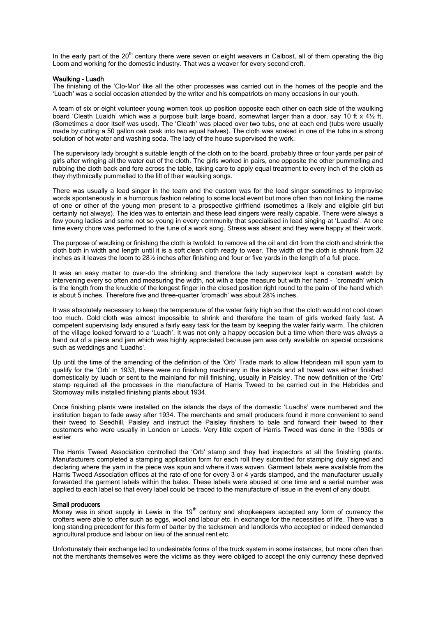In the early part of the 20<sup>th</sup> century there were seven or eight weavers in Calbost, all of them operating the Big Loom and working for the domestic industry. That was a weaver for every second croft.

#### Waulking - Luadh

The finishing of the 'Clo-Mor' like all the other processes was carried out in the homes of the people and the 'Luadh' was a social occasion attended by the writer and his compatriots on many occasions in our youth.

A team of six or eight volunteer young women took up position opposite each other on each side of the waulking board 'Cleath Luaidh' which was a purpose built large board, somewhat larger than a door, say 10 ft x 4½ ft. (Sometimes a door itself was used). The 'Cleath' was placed over two tubs, one at each end (tubs were usually made by cutting a 50 gallon oak cask into two equal halves). The cloth was soaked in one of the tubs in a strong solution of hot water and washing soda. The lady of the house supervised the work.

The supervisory lady brought a suitable length of the cloth on to the board, probably three or four yards per pair of girls after wringing all the water out of the cloth. The girls worked in pairs, one opposite the other pummelling and rubbing the cloth back and fore across the table, taking care to apply equal treatment to every inch of the cloth as they rhythmically pummelled to the lilt of their waulking songs.

There was usually a lead singer in the team and the custom was for the lead singer sometimes to improvise words spontaneously in a humorous fashion relating to some local event but more often than not linking the name of one or other of the young men present to a prospective girlfriend (sometimes a likely and eligible girl but certainly not always). The idea was to entertain and these lead singers were really capable. There were always a few young ladies and some not so young in every community that specialised in lead singing at 'Luadhs'. At one time every chore was performed to the tune of a work song. Stress was absent and they were happy at their work.

The purpose of waulking or finishing the cloth is twofold: to remove all the oil and dirt from the cloth and shrink the cloth both in width and length until it is a soft clean cloth ready to wear. The width of the cloth is shrunk from 32 inches as it leaves the loom to 28½ inches after finishing and four or five yards in the length of a full place.

It was an easy matter to over-do the shrinking and therefore the lady supervisor kept a constant watch by intervening every so often and measuring the width, not with a tape measure but with her hand - 'cromadh' which is the length from the knuckle of the longest finger in the closed position right round to the palm of the hand which is about 5 inches. Therefore five and three-quarter 'cromadh' was about 28½ inches.

It was absolutely necessary to keep the temperature of the water fairly high so that the cloth would not cool down too much. Cold cloth was almost impossible to shrink and therefore the team of girls worked fairly fast. A competent supervising lady ensured a fairly easy task for the team by keeping the water fairly warm. The children of the village looked forward to a 'Luadh'. It was not only a happy occasion but a time when there was always a hand out of a piece and jam which was highly appreciated because jam was only available on special occasions such as weddings and 'Luadhs'.

Up until the time of the amending of the definition of the 'Orb' Trade mark to allow Hebridean mill spun yarn to qualify for the 'Orb' in 1933, there were no finishing machinery in the islands and all tweed was either finished domestically by luadh or sent to the mainland for mill finishing, usually in Paisley. The new definition of the 'Orb' stamp required all the processes in the manufacture of Harris Tweed to be carried out in the Hebrides and Stornoway mills installed finishing plants about 1934.

Once finishing plants were installed on the islands the days of the domestic 'Luadhs' were numbered and the institution began to fade away after 1934. The merchants and small producers found it more convenient to send their tweed to Seedhill, Paisley and instruct the Paisley finishers to bale and forward their tweed to their customers who were usually in London or Leeds. Very little export of Harris Tweed was done in the 1930s or earlier.

The Harris Tweed Association controlled the 'Orb' stamp and they had inspectors at all the finishing plants. Manufacturers completed a stamping application form for each roll they submitted for stamping duly signed and declaring where the yarn in the piece was spun and where it was woven. Garment labels were available from the Harris Tweed Association offices at the rate of one for every 3 or 4 yards stamped, and the manufacturer usually forwarded the garment labels within the bales. These labels were abused at one time and a serial number was applied to each label so that every label could be traced to the manufacture of issue in the event of any doubt.

#### Small producers

 $\mu$  Money was in short supply in Lewis in the 19<sup>th</sup> century and shopkeepers accepted any form of currency the crofters were able to offer such as eggs, wool and labour etc. in exchange for the necessities of life. There was a long standing precedent for this form of barter by the tacksmen and landlords who accepted or indeed demanded agricultural produce and labour on lieu of the annual rent etc.

Unfortunately their exchange led to undesirable forms of the truck system in some instances, but more often than not the merchants themselves were the victims as they were obliged to accept the only currency these deprived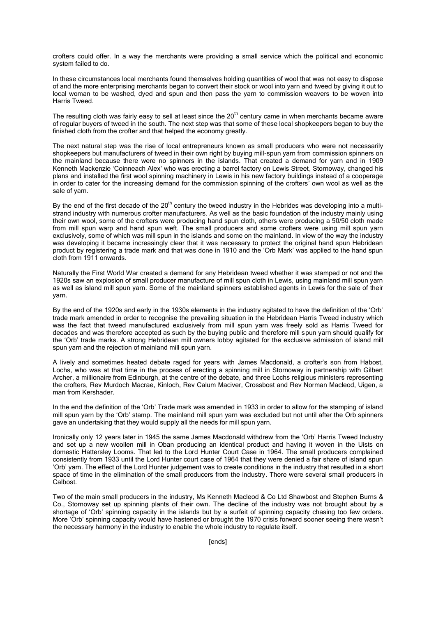crofters could offer. In a way the merchants were providing a small service which the political and economic system failed to do.

In these circumstances local merchants found themselves holding quantities of wool that was not easy to dispose of and the more enterprising merchants began to convert their stock or wool into yarn and tweed by giving it out to local woman to be washed, dyed and spun and then pass the yarn to commission weavers to be woven into Harris Tweed.

The resulting cloth was fairly easy to sell at least since the 20<sup>th</sup> century came in when merchants became aware of regular buyers of tweed in the south. The next step was that some of these local shopkeepers began to buy the finished cloth from the crofter and that helped the economy greatly.

The next natural step was the rise of local entrepreneurs known as small producers who were not necessarily shopkeepers but manufacturers of tweed in their own right by buying mill-spun yarn from commission spinners on the mainland because there were no spinners in the islands. That created a demand for yarn and in 1909 Kenneth Mackenzie 'Coinneach Alex' who was erecting a barrel factory on Lewis Street, Stornoway, changed his plans and installed the first wool spinning machinery in Lewis in his new factory buildings instead of a cooperage in order to cater for the increasing demand for the commission spinning of the crofters' own wool as well as the sale of yarn.

By the end of the first decade of the  $20<sup>th</sup>$  century the tweed industry in the Hebrides was developing into a multistrand industry with numerous crofter manufacturers. As well as the basic foundation of the industry mainly using their own wool, some of the crofters were producing hand spun cloth, others were producing a 50/50 cloth made from mill spun warp and hand spun weft. The small producers and some crofters were using mill spun yarn exclusively, some of which was mill spun in the islands and some on the mainland. In view of the way the industry was developing it became increasingly clear that it was necessary to protect the original hand spun Hebridean product by registering a trade mark and that was done in 1910 and the 'Orb Mark' was applied to the hand spun cloth from 1911 onwards.

Naturally the First World War created a demand for any Hebridean tweed whether it was stamped or not and the 1920s saw an explosion of small producer manufacture of mill spun cloth in Lewis, using mainland mill spun yarn as well as island mill spun yarn. Some of the mainland spinners established agents in Lewis for the sale of their yarn.

By the end of the 1920s and early in the 1930s elements in the industry agitated to have the definition of the 'Orb' trade mark amended in order to recognise the prevailing situation in the Hebridean Harris Tweed industry which was the fact that tweed manufactured exclusively from mill spun yarn was freely sold as Harris Tweed for decades and was therefore accepted as such by the buying public and therefore mill spun yarn should qualify for the 'Orb' trade marks. A strong Hebridean mill owners lobby agitated for the exclusive admission of island mill spun yarn and the rejection of mainland mill spun yarn.

A lively and sometimes heated debate raged for years with James Macdonald, a crofter's son from Habost, Lochs, who was at that time in the process of erecting a spinning mill in Stornoway in partnership with Gilbert Archer, a millionaire from Edinburgh, at the centre of the debate, and three Lochs religious ministers representing the crofters, Rev Murdoch Macrae, Kinloch, Rev Calum Maciver, Crossbost and Rev Norman Macleod, Uigen, a man from Kershader.

In the end the definition of the 'Orb' Trade mark was amended in 1933 in order to allow for the stamping of island mill spun yarn by the 'Orb' stamp. The mainland mill spun yarn was excluded but not until after the Orb spinners gave an undertaking that they would supply all the needs for mill spun yarn.

Ironically only 12 years later in 1945 the same James Macdonald withdrew from the 'Orb' Harris Tweed Industry and set up a new woollen mill in Oban producing an identical product and having it woven in the Uists on domestic Hattersley Looms. That led to the Lord Hunter Court Case in 1964. The small producers complained consistently from 1933 until the Lord Hunter court case of 1964 that they were denied a fair share of island spun 'Orb' yarn. The effect of the Lord Hunter judgement was to create conditions in the industry that resulted in a short space of time in the elimination of the small producers from the industry. There were several small producers in Calbost.

Two of the main small producers in the industry, Ms Kenneth Macleod & Co Ltd Shawbost and Stephen Burns & Co., Stornoway set up spinning plants of their own. The decline of the industry was not brought about by a shortage of 'Orb' spinning capacity in the islands but by a surfeit of spinning capacity chasing too few orders. More 'Orb' spinning capacity would have hastened or brought the 1970 crisis forward sooner seeing there wasn't the necessary harmony in the industry to enable the whole industry to regulate itself.